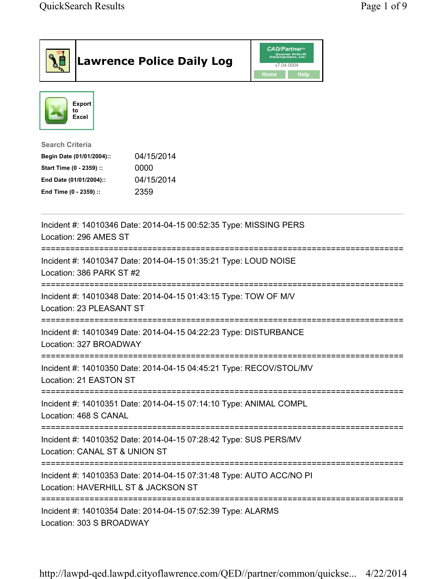| <b>Lawrence Police Daily Log</b>                                                                                                                                                 | <b>CAD/Partner</b> "<br>Queues Enforth<br>Development, Inc.<br>v7.04.0004<br>Home<br><b>Help</b> |
|----------------------------------------------------------------------------------------------------------------------------------------------------------------------------------|--------------------------------------------------------------------------------------------------|
| <b>Export</b><br>to<br>Excel                                                                                                                                                     |                                                                                                  |
| <b>Search Criteria</b><br>04/15/2014<br>Begin Date (01/01/2004)::<br>Start Time (0 - 2359) ::<br>0000<br>04/15/2014<br>End Date (01/01/2004)::<br>2359<br>End Time (0 - 2359) :: |                                                                                                  |
| Incident #: 14010346 Date: 2014-04-15 00:52:35 Type: MISSING PERS<br>Location: 296 AMES ST                                                                                       |                                                                                                  |
| =========================<br>Incident #: 14010347 Date: 2014-04-15 01:35:21 Type: LOUD NOISE<br>Location: 386 PARK ST #2                                                         |                                                                                                  |
| Incident #: 14010348 Date: 2014-04-15 01:43:15 Type: TOW OF M/V<br>Location: 23 PLEASANT ST                                                                                      |                                                                                                  |
| Incident #: 14010349 Date: 2014-04-15 04:22:23 Type: DISTURBANCE<br>Location: 327 BROADWAY                                                                                       |                                                                                                  |
| Incident #: 14010350 Date: 2014-04-15 04:45:21 Type: RECOV/STOL/MV<br>Location: 21 EASTON ST                                                                                     |                                                                                                  |
| Incident #: 14010351 Date: 2014-04-15 07:14:10 Type: ANIMAL COMPL<br>Location: 468 S CANAL                                                                                       |                                                                                                  |
| Incident #: 14010352 Date: 2014-04-15 07:28:42 Type: SUS PERS/MV<br>Location: CANAL ST & UNION ST                                                                                |                                                                                                  |
| Incident #: 14010353 Date: 2014-04-15 07:31:48 Type: AUTO ACC/NO PI<br>Location: HAVERHILL ST & JACKSON ST<br>;============================                                      |                                                                                                  |
| Incident #: 14010354 Date: 2014-04-15 07:52:39 Type: ALARMS<br>Location: 303 S BROADWAY                                                                                          |                                                                                                  |

http://lawpd-qed.lawpd.cityoflawrence.com/QED//partner/common/quickse... 4/22/2014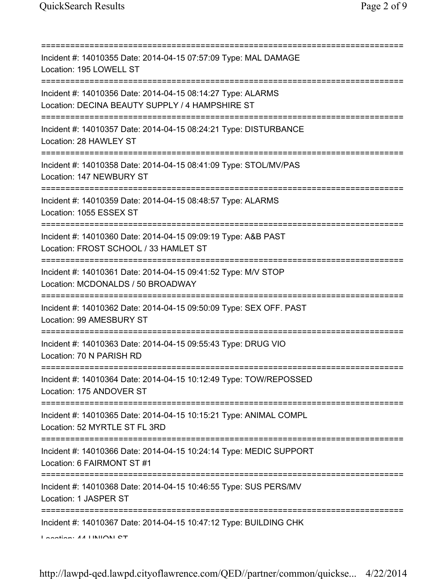=========================================================================== Incident #: 14010355 Date: 2014-04-15 07:57:09 Type: MAL DAMAGE Location: 195 LOWELL ST =========================================================================== Incident #: 14010356 Date: 2014-04-15 08:14:27 Type: ALARMS Location: DECINA BEAUTY SUPPLY / 4 HAMPSHIRE ST =========================================================================== Incident #: 14010357 Date: 2014-04-15 08:24:21 Type: DISTURBANCE Location: 28 HAWLEY ST =========================================================================== Incident #: 14010358 Date: 2014-04-15 08:41:09 Type: STOL/MV/PAS Location: 147 NEWBURY ST =========================================================================== Incident #: 14010359 Date: 2014-04-15 08:48:57 Type: ALARMS Location: 1055 ESSEX ST =========================================================================== Incident #: 14010360 Date: 2014-04-15 09:09:19 Type: A&B PAST Location: FROST SCHOOL / 33 HAMLET ST =========================================================================== Incident #: 14010361 Date: 2014-04-15 09:41:52 Type: M/V STOP Location: MCDONALDS / 50 BROADWAY =========================================================================== Incident #: 14010362 Date: 2014-04-15 09:50:09 Type: SEX OFF. PAST Location: 99 AMESBURY ST =========================================================================== Incident #: 14010363 Date: 2014-04-15 09:55:43 Type: DRUG VIO Location: 70 N PARISH RD =========================================================================== Incident #: 14010364 Date: 2014-04-15 10:12:49 Type: TOW/REPOSSED Location: 175 ANDOVER ST =========================================================================== Incident #: 14010365 Date: 2014-04-15 10:15:21 Type: ANIMAL COMPL Location: 52 MYRTLE ST FL 3RD =========================================================================== Incident #: 14010366 Date: 2014-04-15 10:24:14 Type: MEDIC SUPPORT Location: 6 FAIRMONT ST #1 =========================================================================== Incident #: 14010368 Date: 2014-04-15 10:46:55 Type: SUS PERS/MV Location: 1 JASPER ST =========================================================================== Incident #: 14010367 Date: 2014-04-15 10:47:12 Type: BUILDING CHK Location: 44 UNION CT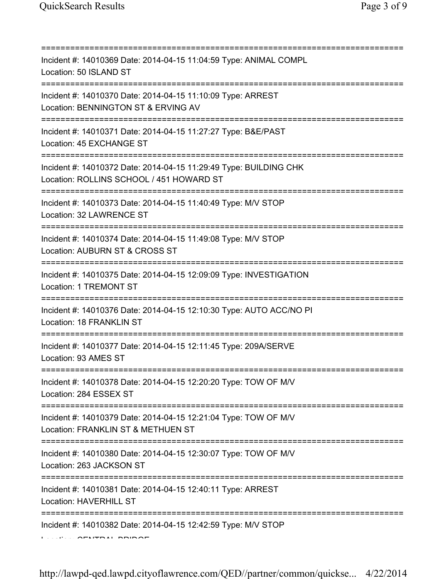=========================================================================== Incident #: 14010369 Date: 2014-04-15 11:04:59 Type: ANIMAL COMPL Location: 50 ISLAND ST =========================================================================== Incident #: 14010370 Date: 2014-04-15 11:10:09 Type: ARREST Location: BENNINGTON ST & ERVING AV =========================================================================== Incident #: 14010371 Date: 2014-04-15 11:27:27 Type: B&E/PAST Location: 45 EXCHANGE ST =========================================================================== Incident #: 14010372 Date: 2014-04-15 11:29:49 Type: BUILDING CHK Location: ROLLINS SCHOOL / 451 HOWARD ST =========================================================================== Incident #: 14010373 Date: 2014-04-15 11:40:49 Type: M/V STOP Location: 32 LAWRENCE ST =========================================================================== Incident #: 14010374 Date: 2014-04-15 11:49:08 Type: M/V STOP Location: AUBURN ST & CROSS ST =========================================================================== Incident #: 14010375 Date: 2014-04-15 12:09:09 Type: INVESTIGATION Location: 1 TREMONT ST =========================================================================== Incident #: 14010376 Date: 2014-04-15 12:10:30 Type: AUTO ACC/NO PI Location: 18 FRANKLIN ST =========================================================================== Incident #: 14010377 Date: 2014-04-15 12:11:45 Type: 209A/SERVE Location: 93 AMES ST =========================================================================== Incident #: 14010378 Date: 2014-04-15 12:20:20 Type: TOW OF M/V Location: 284 ESSEX ST =========================================================================== Incident #: 14010379 Date: 2014-04-15 12:21:04 Type: TOW OF M/V Location: FRANKLIN ST & METHUEN ST =========================================================================== Incident #: 14010380 Date: 2014-04-15 12:30:07 Type: TOW OF M/V Location: 263 JACKSON ST =========================================================================== Incident #: 14010381 Date: 2014-04-15 12:40:11 Type: ARREST Location: HAVERHILL ST =========================================================================== Incident #: 14010382 Date: 2014-04-15 12:42:59 Type: M/V STOP Location: CENTRAL BRIDGE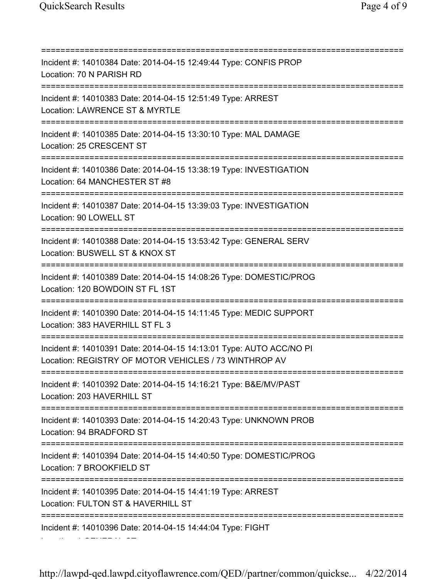=========================================================================== Incident #: 14010384 Date: 2014-04-15 12:49:44 Type: CONFIS PROP Location: 70 N PARISH RD =========================================================================== Incident #: 14010383 Date: 2014-04-15 12:51:49 Type: ARREST Location: LAWRENCE ST & MYRTLE =========================================================================== Incident #: 14010385 Date: 2014-04-15 13:30:10 Type: MAL DAMAGE Location: 25 CRESCENT ST =========================================================================== Incident #: 14010386 Date: 2014-04-15 13:38:19 Type: INVESTIGATION Location: 64 MANCHESTER ST #8 =========================================================================== Incident #: 14010387 Date: 2014-04-15 13:39:03 Type: INVESTIGATION Location: 90 LOWELL ST =========================================================================== Incident #: 14010388 Date: 2014-04-15 13:53:42 Type: GENERAL SERV Location: BUSWELL ST & KNOX ST =========================================================================== Incident #: 14010389 Date: 2014-04-15 14:08:26 Type: DOMESTIC/PROG Location: 120 BOWDOIN ST FL 1ST =========================================================================== Incident #: 14010390 Date: 2014-04-15 14:11:45 Type: MEDIC SUPPORT Location: 383 HAVERHILL ST FL 3 =========================================================================== Incident #: 14010391 Date: 2014-04-15 14:13:01 Type: AUTO ACC/NO PI Location: REGISTRY OF MOTOR VEHICLES / 73 WINTHROP AV =========================================================================== Incident #: 14010392 Date: 2014-04-15 14:16:21 Type: B&E/MV/PAST Location: 203 HAVERHILL ST =========================================================================== Incident #: 14010393 Date: 2014-04-15 14:20:43 Type: UNKNOWN PROB Location: 94 BRADFORD ST =========================================================================== Incident #: 14010394 Date: 2014-04-15 14:40:50 Type: DOMESTIC/PROG Location: 7 BROOKFIELD ST =========================================================================== Incident #: 14010395 Date: 2014-04-15 14:41:19 Type: ARREST Location: FULTON ST & HAVERHILL ST =========================================================================== Incident #: 14010396 Date: 2014-04-15 14:44:04 Type: FIGHT Location: 1 GENERAL ST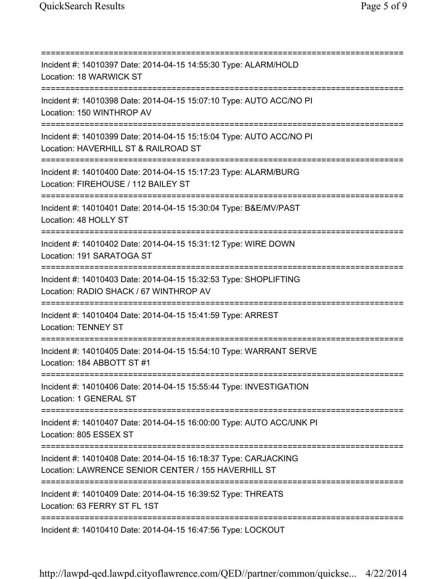=========================================================================== Incident #: 14010397 Date: 2014-04-15 14:55:30 Type: ALARM/HOLD Location: 18 WARWICK ST =========================================================================== Incident #: 14010398 Date: 2014-04-15 15:07:10 Type: AUTO ACC/NO PI Location: 150 WINTHROP AV =========================================================================== Incident #: 14010399 Date: 2014-04-15 15:15:04 Type: AUTO ACC/NO PI Location: HAVERHILL ST & RAILROAD ST =========================================================================== Incident #: 14010400 Date: 2014-04-15 15:17:23 Type: ALARM/BURG Location: FIREHOUSE / 112 BAILEY ST =========================================================================== Incident #: 14010401 Date: 2014-04-15 15:30:04 Type: B&E/MV/PAST Location: 48 HOLLY ST =========================================================================== Incident #: 14010402 Date: 2014-04-15 15:31:12 Type: WIRE DOWN Location: 191 SARATOGA ST =========================================================================== Incident #: 14010403 Date: 2014-04-15 15:32:53 Type: SHOPLIFTING Location: RADIO SHACK / 67 WINTHROP AV =========================================================================== Incident #: 14010404 Date: 2014-04-15 15:41:59 Type: ARREST Location: TENNEY ST =========================================================================== Incident #: 14010405 Date: 2014-04-15 15:54:10 Type: WARRANT SERVE Location: 184 ABBOTT ST #1 =========================================================================== Incident #: 14010406 Date: 2014-04-15 15:55:44 Type: INVESTIGATION Location: 1 GENERAL ST =========================================================================== Incident #: 14010407 Date: 2014-04-15 16:00:00 Type: AUTO ACC/UNK PI Location: 805 ESSEX ST =========================================================================== Incident #: 14010408 Date: 2014-04-15 16:18:37 Type: CARJACKING Location: LAWRENCE SENIOR CENTER / 155 HAVERHILL ST =========================================================================== Incident #: 14010409 Date: 2014-04-15 16:39:52 Type: THREATS Location: 63 FERRY ST FL 1ST =========================================================================== Incident #: 14010410 Date: 2014-04-15 16:47:56 Type: LOCKOUT

http://lawpd-qed.lawpd.cityoflawrence.com/QED//partner/common/quickse... 4/22/2014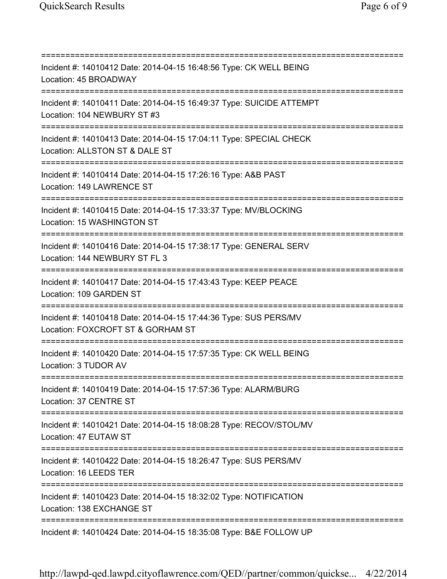=========================================================================== Incident #: 14010412 Date: 2014-04-15 16:48:56 Type: CK WELL BEING Location: 45 BROADWAY =========================================================================== Incident #: 14010411 Date: 2014-04-15 16:49:37 Type: SUICIDE ATTEMPT Location: 104 NEWBURY ST #3 =========================================================================== Incident #: 14010413 Date: 2014-04-15 17:04:11 Type: SPECIAL CHECK Location: ALLSTON ST & DALE ST =========================================================================== Incident #: 14010414 Date: 2014-04-15 17:26:16 Type: A&B PAST Location: 149 LAWRENCE ST =========================================================================== Incident #: 14010415 Date: 2014-04-15 17:33:37 Type: MV/BLOCKING Location: 15 WASHINGTON ST =========================================================================== Incident #: 14010416 Date: 2014-04-15 17:38:17 Type: GENERAL SERV Location: 144 NEWBURY ST FL 3 =========================================================================== Incident #: 14010417 Date: 2014-04-15 17:43:43 Type: KEEP PEACE Location: 109 GARDEN ST =========================================================================== Incident #: 14010418 Date: 2014-04-15 17:44:36 Type: SUS PERS/MV Location: FOXCROFT ST & GORHAM ST =========================================================================== Incident #: 14010420 Date: 2014-04-15 17:57:35 Type: CK WELL BEING Location: 3 TUDOR AV =========================================================================== Incident #: 14010419 Date: 2014-04-15 17:57:36 Type: ALARM/BURG Location: 37 CENTRE ST =========================================================================== Incident #: 14010421 Date: 2014-04-15 18:08:28 Type: RECOV/STOL/MV Location: 47 EUTAW ST =========================================================================== Incident #: 14010422 Date: 2014-04-15 18:26:47 Type: SUS PERS/MV Location: 16 LEEDS TER =========================================================================== Incident #: 14010423 Date: 2014-04-15 18:32:02 Type: NOTIFICATION Location: 138 EXCHANGE ST =========================================================================== Incident #: 14010424 Date: 2014-04-15 18:35:08 Type: B&E FOLLOW UP

http://lawpd-qed.lawpd.cityoflawrence.com/QED//partner/common/quickse... 4/22/2014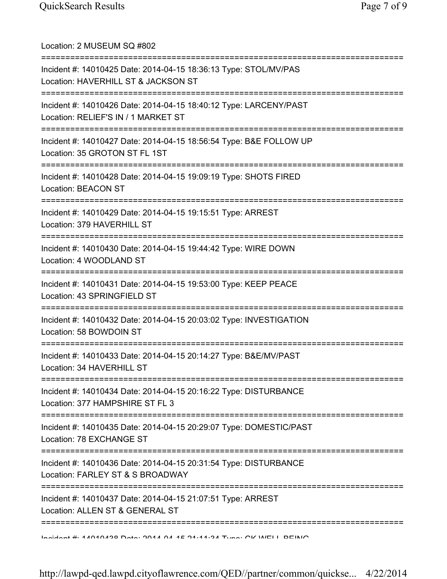Location: 2 MUSEUM SQ #802 =========================================================================== Incident #: 14010425 Date: 2014-04-15 18:36:13 Type: STOL/MV/PAS Location: HAVERHILL ST & JACKSON ST =========================================================================== Incident #: 14010426 Date: 2014-04-15 18:40:12 Type: LARCENY/PAST Location: RELIEF'S IN / 1 MARKET ST =========================================================================== Incident #: 14010427 Date: 2014-04-15 18:56:54 Type: B&E FOLLOW UP Location: 35 GROTON ST FL 1ST =========================================================================== Incident #: 14010428 Date: 2014-04-15 19:09:19 Type: SHOTS FIRED Location: BEACON ST =========================================================================== Incident #: 14010429 Date: 2014-04-15 19:15:51 Type: ARREST Location: 379 HAVERHILL ST =========================================================================== Incident #: 14010430 Date: 2014-04-15 19:44:42 Type: WIRE DOWN Location: 4 WOODLAND ST =========================================================================== Incident #: 14010431 Date: 2014-04-15 19:53:00 Type: KEEP PEACE Location: 43 SPRINGFIELD ST =========================================================================== Incident #: 14010432 Date: 2014-04-15 20:03:02 Type: INVESTIGATION Location: 58 BOWDOIN ST =========================================================================== Incident #: 14010433 Date: 2014-04-15 20:14:27 Type: B&E/MV/PAST Location: 34 HAVERHILL ST =========================================================================== Incident #: 14010434 Date: 2014-04-15 20:16:22 Type: DISTURBANCE Location: 377 HAMPSHIRE ST FL 3 =========================================================================== Incident #: 14010435 Date: 2014-04-15 20:29:07 Type: DOMESTIC/PAST Location: 78 EXCHANGE ST =========================================================================== Incident #: 14010436 Date: 2014-04-15 20:31:54 Type: DISTURBANCE Location: FARLEY ST & S BROADWAY =========================================================================== Incident #: 14010437 Date: 2014-04-15 21:07:51 Type: ARREST Location: ALLEN ST & GENERAL ST =========================================================================== Incident #: 14010438 Date: 2014 04 15 21:11:34 Type: CK WELL BEING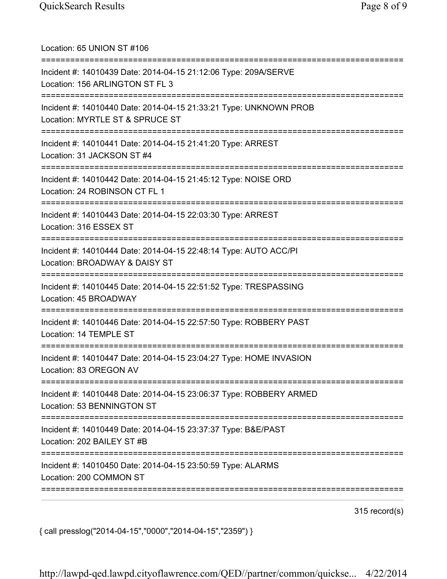| Location: 65 UNION ST #106                                                                                                                    |
|-----------------------------------------------------------------------------------------------------------------------------------------------|
| Incident #: 14010439 Date: 2014-04-15 21:12:06 Type: 209A/SERVE<br>Location: 156 ARLINGTON ST FL 3                                            |
| Incident #: 14010440 Date: 2014-04-15 21:33:21 Type: UNKNOWN PROB<br>Location: MYRTLE ST & SPRUCE ST<br>===================================== |
| Incident #: 14010441 Date: 2014-04-15 21:41:20 Type: ARREST<br>Location: 31 JACKSON ST #4<br>.-------------------------------                 |
| Incident #: 14010442 Date: 2014-04-15 21:45:12 Type: NOISE ORD<br>Location: 24 ROBINSON CT FL 1                                               |
| -----------------------------------<br>Incident #: 14010443 Date: 2014-04-15 22:03:30 Type: ARREST<br>Location: 316 ESSEX ST                  |
| .============================<br>Incident #: 14010444 Date: 2014-04-15 22:48:14 Type: AUTO ACC/PI<br>Location: BROADWAY & DAISY ST            |
| Incident #: 14010445 Date: 2014-04-15 22:51:52 Type: TRESPASSING<br>Location: 45 BROADWAY                                                     |
| Incident #: 14010446 Date: 2014-04-15 22:57:50 Type: ROBBERY PAST<br>Location: 14 TEMPLE ST                                                   |
| Incident #: 14010447 Date: 2014-04-15 23:04:27 Type: HOME INVASION<br>Location: 83 OREGON AV                                                  |
| Incident #: 14010448 Date: 2014-04-15 23:06:37 Type: ROBBERY ARMED<br>Location: 53 BENNINGTON ST                                              |
| Incident #: 14010449 Date: 2014-04-15 23:37:37 Type: B&E/PAST<br>Location: 202 BAILEY ST #B                                                   |
| Incident #: 14010450 Date: 2014-04-15 23:50:59 Type: ALARMS<br>Location: 200 COMMON ST                                                        |
|                                                                                                                                               |

315 record(s)

{ call presslog("2014-04-15","0000","2014-04-15","2359") }